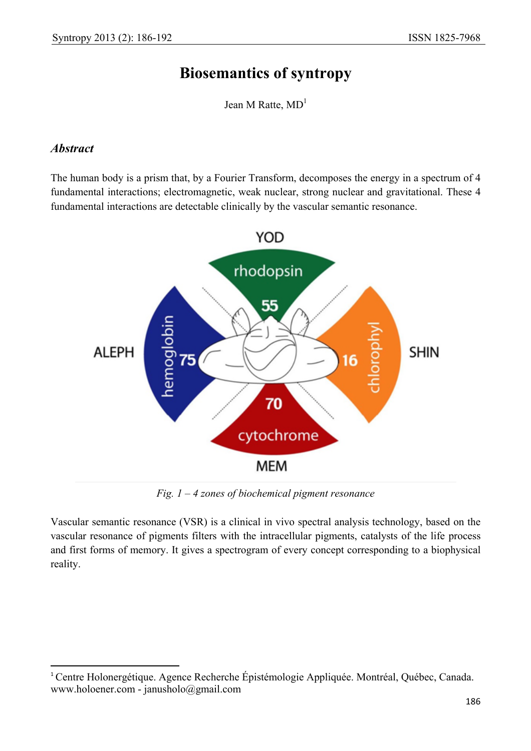## **Biosemantics of syntropy**

Jean M Ratte,  $MD<sup>1</sup>$ 

#### *Abstract*

 $\overline{a}$ 

The human body is a prism that, by a Fourier Transform, decomposes the energy in a spectrum of 4 fundamental interactions; electromagnetic, weak nuclear, strong nuclear and gravitational. These 4 fundamental interactions are detectable clinically by the vascular semantic resonance.



*Fig. 1 – 4 zones of biochemical pigment resonance* 

Vascular semantic resonance (VSR) is a clinical in vivo spectral analysis technology, based on the vascular resonance of pigments filters with the intracellular pigments, catalysts of the life process and first forms of memory. It gives a spectrogram of every concept corresponding to a biophysical reality.

<sup>1</sup> Centre Holonergétique. Agence Recherche Épistémologie Appliquée. Montréal, Québec, Canada. www.holoener.com - janusholo@gmail.com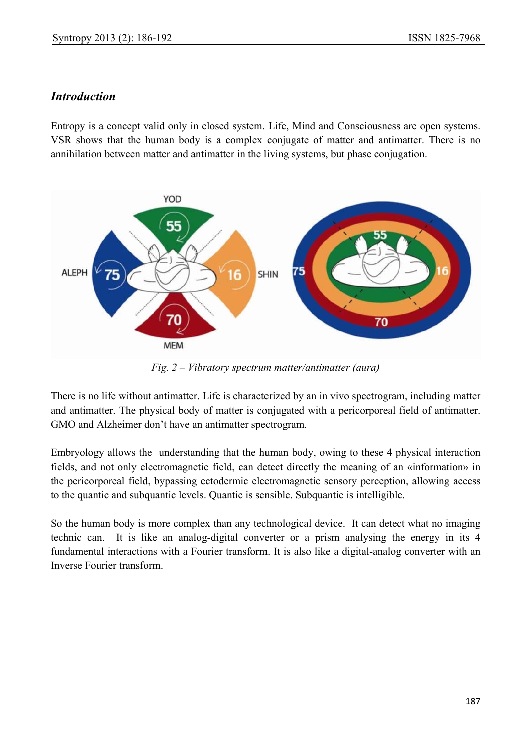#### *Introduction*

Entropy is a concept valid only in closed system. Life, Mind and Consciousness are open systems. VSR shows that the human body is a complex conjugate of matter and antimatter. There is no annihilation between matter and antimatter in the living systems, but phase conjugation.



*Fig. 2 – Vibratory spectrum matter/antimatter (aura)* 

There is no life without antimatter. Life is characterized by an in vivo spectrogram, including matter and antimatter. The physical body of matter is conjugated with a pericorporeal field of antimatter. GMO and Alzheimer don't have an antimatter spectrogram.

Embryology allows the understanding that the human body, owing to these 4 physical interaction fields, and not only electromagnetic field, can detect directly the meaning of an «information» in the pericorporeal field, bypassing ectodermic electromagnetic sensory perception, allowing access to the quantic and subquantic levels. Quantic is sensible. Subquantic is intelligible.

So the human body is more complex than any technological device. It can detect what no imaging technic can. It is like an analog-digital converter or a prism analysing the energy in its 4 fundamental interactions with a Fourier transform. It is also like a digital-analog converter with an Inverse Fourier transform.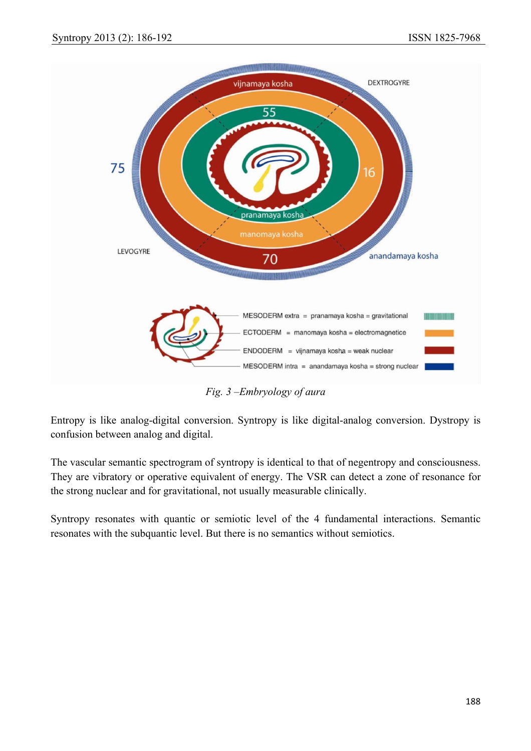

*Fig. 3 –Embryology of aura* 

Entropy is like analog-digital conversion. Syntropy is like digital-analog conversion. Dystropy is confusion between analog and digital.

The vascular semantic spectrogram of syntropy is identical to that of negentropy and consciousness. They are vibratory or operative equivalent of energy. The VSR can detect a zone of resonance for the strong nuclear and for gravitational, not usually measurable clinically.

Syntropy resonates with quantic or semiotic level of the 4 fundamental interactions. Semantic resonates with the subquantic level. But there is no semantics without semiotics.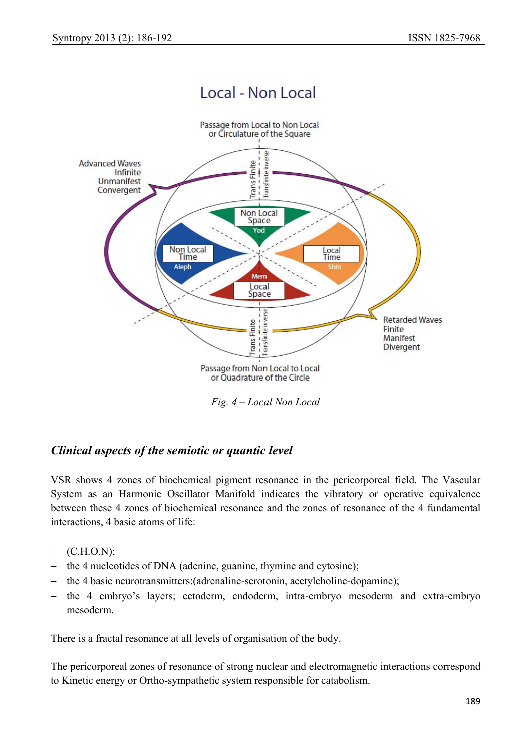# Local - Non Local



*Fig. 4 – Local Non Local* 

### *Clinical aspects of the semiotic or quantic level*

VSR shows 4 zones of biochemical pigment resonance in the pericorporeal field. The Vascular System as an Harmonic Oscillator Manifold indicates the vibratory or operative equivalence between these 4 zones of biochemical resonance and the zones of resonance of the 4 fundamental interactions, 4 basic atoms of life:

- − (C.H.O.N);
- − the 4 nucleotides of DNA (adenine, guanine, thymine and cytosine);
- − the 4 basic neurotransmitters:(adrenaline-serotonin, acetylcholine-dopamine);
- − the 4 embryo's layers; ectoderm, endoderm, intra-embryo mesoderm and extra-embryo mesoderm.

There is a fractal resonance at all levels of organisation of the body.

The pericorporeal zones of resonance of strong nuclear and electromagnetic interactions correspond to Kinetic energy or Ortho-sympathetic system responsible for catabolism.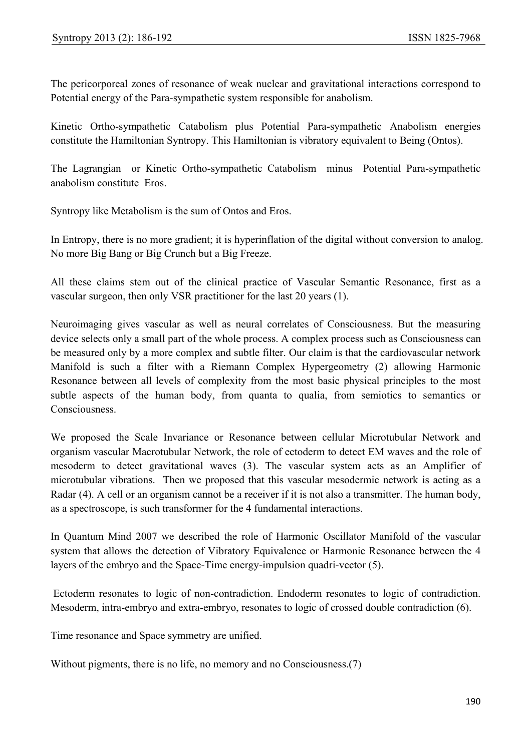The pericorporeal zones of resonance of weak nuclear and gravitational interactions correspond to Potential energy of the Para-sympathetic system responsible for anabolism.

Kinetic Ortho-sympathetic Catabolism plus Potential Para-sympathetic Anabolism energies constitute the Hamiltonian Syntropy. This Hamiltonian is vibratory equivalent to Being (Ontos).

The Lagrangian or Kinetic Ortho-sympathetic Catabolism minus Potential Para-sympathetic anabolism constitute Eros.

Syntropy like Metabolism is the sum of Ontos and Eros.

In Entropy, there is no more gradient; it is hyperinflation of the digital without conversion to analog. No more Big Bang or Big Crunch but a Big Freeze.

All these claims stem out of the clinical practice of Vascular Semantic Resonance, first as a vascular surgeon, then only VSR practitioner for the last 20 years (1).

Neuroimaging gives vascular as well as neural correlates of Consciousness. But the measuring device selects only a small part of the whole process. A complex process such as Consciousness can be measured only by a more complex and subtle filter. Our claim is that the cardiovascular network Manifold is such a filter with a Riemann Complex Hypergeometry (2) allowing Harmonic Resonance between all levels of complexity from the most basic physical principles to the most subtle aspects of the human body, from quanta to qualia, from semiotics to semantics or Consciousness.

We proposed the Scale Invariance or Resonance between cellular Microtubular Network and organism vascular Macrotubular Network, the role of ectoderm to detect EM waves and the role of mesoderm to detect gravitational waves (3). The vascular system acts as an Amplifier of microtubular vibrations. Then we proposed that this vascular mesodermic network is acting as a Radar (4). A cell or an organism cannot be a receiver if it is not also a transmitter. The human body, as a spectroscope, is such transformer for the 4 fundamental interactions.

In Quantum Mind 2007 we described the role of Harmonic Oscillator Manifold of the vascular system that allows the detection of Vibratory Equivalence or Harmonic Resonance between the 4 layers of the embryo and the Space-Time energy-impulsion quadri-vector (5).

 Ectoderm resonates to logic of non-contradiction. Endoderm resonates to logic of contradiction. Mesoderm, intra-embryo and extra-embryo, resonates to logic of crossed double contradiction (6).

Time resonance and Space symmetry are unified.

Without pigments, there is no life, no memory and no Consciousness.(7)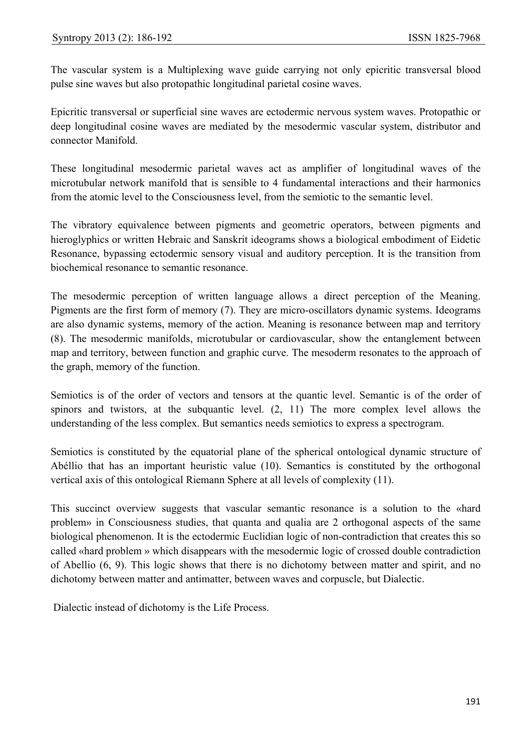The vascular system is a Multiplexing wave guide carrying not only epicritic transversal blood pulse sine waves but also protopathic longitudinal parietal cosine waves.

Epicritic transversal or superficial sine waves are ectodermic nervous system waves. Protopathic or deep longitudinal cosine waves are mediated by the mesodermic vascular system, distributor and connector Manifold.

These longitudinal mesodermic parietal waves act as amplifier of longitudinal waves of the microtubular network manifold that is sensible to 4 fundamental interactions and their harmonics from the atomic level to the Consciousness level, from the semiotic to the semantic level.

The vibratory equivalence between pigments and geometric operators, between pigments and hieroglyphics or written Hebraic and Sanskrit ideograms shows a biological embodiment of Eidetic Resonance, bypassing ectodermic sensory visual and auditory perception. It is the transition from biochemical resonance to semantic resonance.

The mesodermic perception of written language allows a direct perception of the Meaning. Pigments are the first form of memory (7). They are micro-oscillators dynamic systems. Ideograms are also dynamic systems, memory of the action. Meaning is resonance between map and territory (8). The mesodermic manifolds, microtubular or cardiovascular, show the entanglement between map and territory, between function and graphic curve. The mesoderm resonates to the approach of the graph, memory of the function.

Semiotics is of the order of vectors and tensors at the quantic level. Semantic is of the order of spinors and twistors, at the subquantic level. (2, 11) The more complex level allows the understanding of the less complex. But semantics needs semiotics to express a spectrogram.

Semiotics is constituted by the equatorial plane of the spherical ontological dynamic structure of Abéllio that has an important heuristic value (10). Semantics is constituted by the orthogonal vertical axis of this ontological Riemann Sphere at all levels of complexity (11).

This succinct overview suggests that vascular semantic resonance is a solution to the «hard problem» in Consciousness studies, that quanta and qualia are 2 orthogonal aspects of the same biological phenomenon. It is the ectodermic Euclidian logic of non-contradiction that creates this so called «hard problem » which disappears with the mesodermic logic of crossed double contradiction of Abellio (6, 9). This logic shows that there is no dichotomy between matter and spirit, and no dichotomy between matter and antimatter, between waves and corpuscle, but Dialectic.

Dialectic instead of dichotomy is the Life Process.